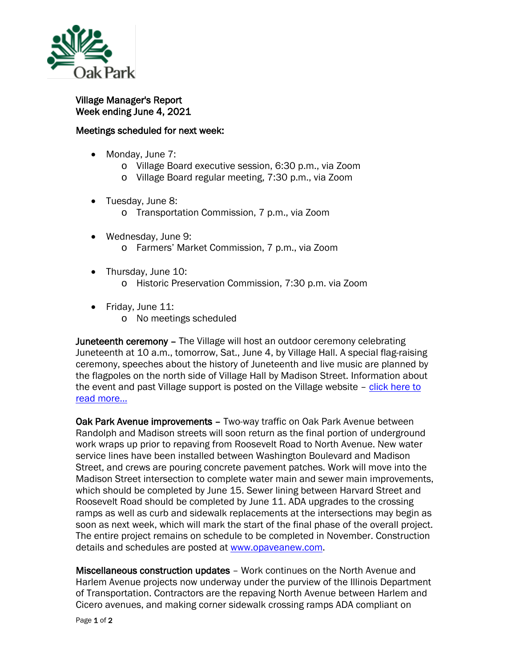

Village Manager's Report Week ending June 4, 2021

## Meetings scheduled for next week:

- Monday, June 7:
	- o Village Board executive session, 6:30 p.m., via Zoom
	- o Village Board regular meeting, 7:30 p.m., via Zoom
- Tuesday, June 8:
	- o Transportation Commission, 7 p.m., via Zoom
- Wednesday, June 9: o Farmers' Market Commission, 7 p.m., via Zoom
- Thursday, June 10:
	- o Historic Preservation Commission, 7:30 p.m. via Zoom
- Friday, June 11:
	- o No meetings scheduled

**Juneteenth ceremony – The Village will host an outdoor ceremony celebrating** Juneteenth at 10 a.m., tomorrow, Sat., June 4, by Village Hall. A special flag-raising ceremony, speeches about the history of Juneteenth and live music are planned by the flagpoles on the north side of Village Hall by Madison Street. Information about the event and past Village support is posted on the Village website – [click here to](https://www.oak-park.us/news/village-begins-celebration-juneteenth)  [read more...](https://www.oak-park.us/news/village-begins-celebration-juneteenth)

Oak Park Avenue improvements - Two-way traffic on Oak Park Avenue between Randolph and Madison streets will soon return as the final portion of underground work wraps up prior to repaving from Roosevelt Road to North Avenue. New water service lines have been installed between Washington Boulevard and Madison Street, and crews are pouring concrete pavement patches. Work will move into the Madison Street intersection to complete water main and sewer main improvements, which should be completed by June 15. Sewer lining between Harvard Street and Roosevelt Road should be completed by June 11. ADA upgrades to the crossing ramps as well as curb and sidewalk replacements at the intersections may begin as soon as next week, which will mark the start of the final phase of the overall project. The entire project remains on schedule to be completed in November. Construction details and schedules are posted at [www.opaveanew.com.](http://www.opaveanew.com/)

Miscellaneous construction updates – Work continues on the North Avenue and Harlem Avenue projects now underway under the purview of the Illinois Department of Transportation. Contractors are the repaving North Avenue between Harlem and Cicero avenues, and making corner sidewalk crossing ramps ADA compliant on